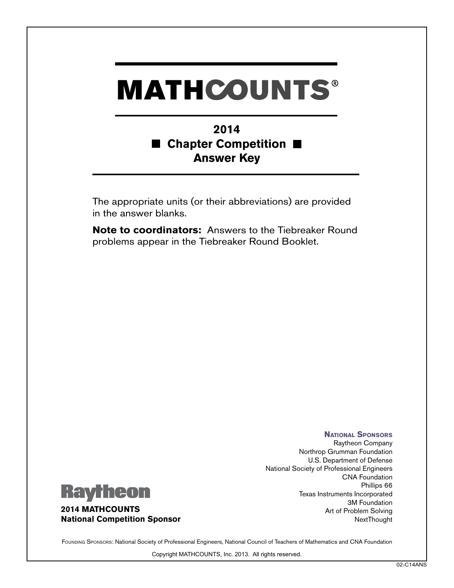## **MATHCOUNTS®**

## **2014 Chapter Competition** M **Answer Key**

The appropriate units (or their abbreviations) are provided in the answer blanks.

**Note to coordinators:** Answers to the Tiebreaker Round problems appear in the Tiebreaker Round Booklet.



**2014 MATHCOUNTS National Competition Sponsor**

**National Sponsors** Raytheon Company Northrop Grumman Foundation U.S. Department of Defense National Society of Professional Engineers CNA Foundation Phillips 66 Texas Instruments Incorporated 3M Foundation Art of Problem Solving **NextThought** 

FOUNDING SPONSORS: National Society of Professional Engineers, National Council of Teachers of Mathematics and CNA Foundation

Copyright MATHCOUNTS, Inc. 2013. All rights reserved.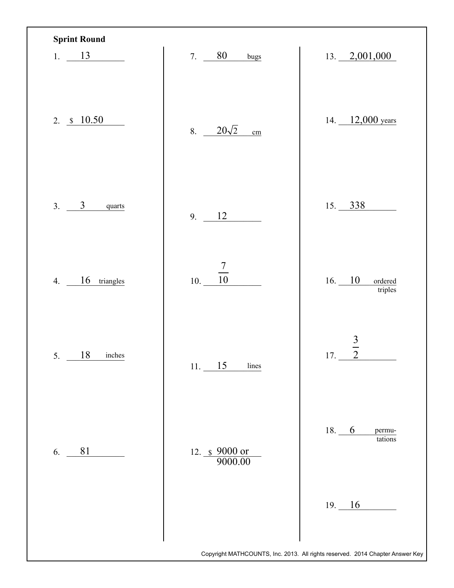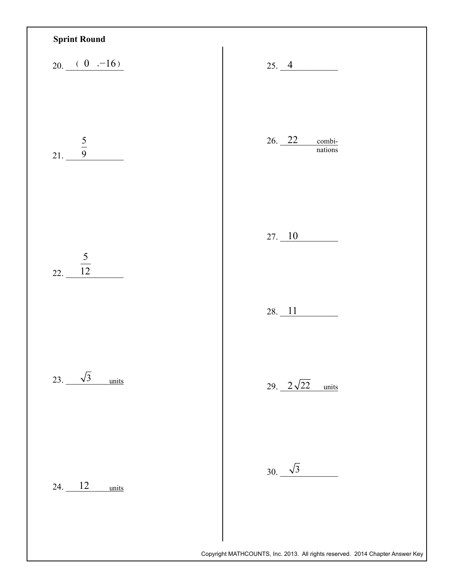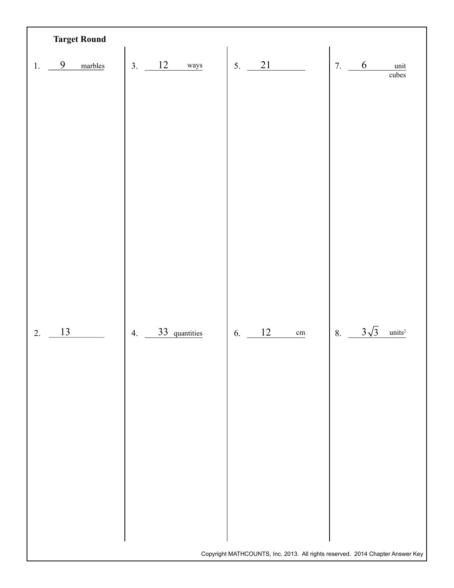|    |    | <b>Target Round</b> |    |                   |    |    |                 |    |             |                                                                               |
|----|----|---------------------|----|-------------------|----|----|-----------------|----|-------------|-------------------------------------------------------------------------------|
| 1. | 9  | marbles             | 3. | <b>12</b><br>ways | 5. | 21 |                 | 7. | $6\,$       | unit                                                                          |
|    |    |                     |    |                   |    |    |                 |    |             | $\overline{\text{cubes}}$                                                     |
|    |    |                     |    |                   |    |    |                 |    |             |                                                                               |
|    |    |                     |    |                   |    |    |                 |    |             |                                                                               |
|    |    |                     |    |                   |    |    |                 |    |             |                                                                               |
|    |    |                     |    |                   |    |    |                 |    |             |                                                                               |
|    |    |                     |    |                   |    |    |                 |    |             |                                                                               |
|    |    |                     |    |                   |    |    |                 |    |             |                                                                               |
|    |    |                     |    |                   |    |    |                 |    |             |                                                                               |
|    |    |                     |    |                   |    |    |                 |    |             |                                                                               |
|    |    |                     |    |                   |    |    |                 |    |             |                                                                               |
| 2. | 13 |                     | 4. | 33 quantities     | 6. | 12 | $\,\mathrm{cm}$ | 8. | $3\sqrt{3}$ | units <sup>2</sup>                                                            |
|    |    |                     |    |                   |    |    |                 |    |             |                                                                               |
|    |    |                     |    |                   |    |    |                 |    |             |                                                                               |
|    |    |                     |    |                   |    |    |                 |    |             |                                                                               |
|    |    |                     |    |                   |    |    |                 |    |             |                                                                               |
|    |    |                     |    |                   |    |    |                 |    |             |                                                                               |
|    |    |                     |    |                   |    |    |                 |    |             |                                                                               |
|    |    |                     |    |                   |    |    |                 |    |             |                                                                               |
|    |    |                     |    |                   |    |    |                 |    |             |                                                                               |
|    |    |                     |    |                   |    |    |                 |    |             |                                                                               |
|    |    |                     |    |                   |    |    |                 |    |             | Copyright MATHCOUNTS, Inc. 2013. All rights reserved. 2014 Chapter Answer Key |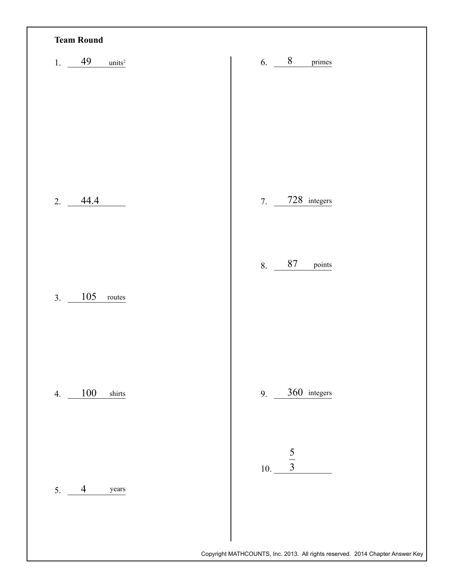| <b>Team Round</b>               |                                                                               |
|---------------------------------|-------------------------------------------------------------------------------|
| 1. $49$<br>units <sup>2</sup>   | 6. $8$ primes                                                                 |
|                                 |                                                                               |
|                                 |                                                                               |
|                                 |                                                                               |
| 2.<br>44.4                      | 7. 728 integers                                                               |
|                                 |                                                                               |
|                                 | 87<br>8.<br>points                                                            |
| 105<br>3.<br>$\texttt{routers}$ |                                                                               |
|                                 |                                                                               |
| 100<br>shirts                   | 9. $360$ integers                                                             |
| 4.                              |                                                                               |
|                                 | $rac{5}{3}$                                                                   |
| 5.<br>$\overline{4}$<br>years   | 10.                                                                           |
|                                 |                                                                               |
|                                 | Copyright MATHCOUNTS, Inc. 2013. All rights reserved. 2014 Chapter Answer Key |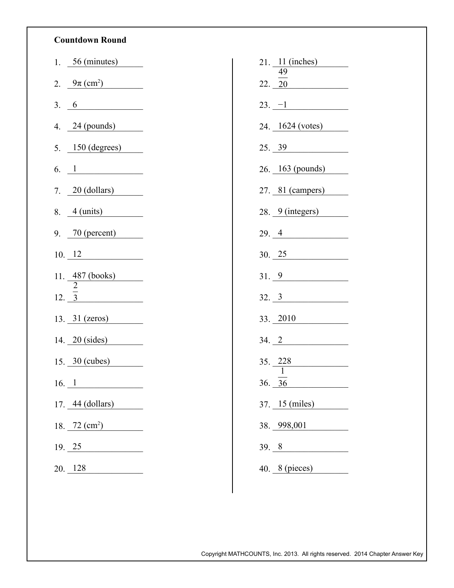## **Countdown Round**

| 1. $56 \text{ (minutes)}$        | 21. 11 (inches)           |
|----------------------------------|---------------------------|
| 2. $9\pi \, (\text{cm}^2)$       | 49<br>22. 20              |
| 3.6                              | $23. -1$                  |
| 4. $24$ (pounds)                 | 24. 1624 (votes)          |
| $5.$ 150 (degrees)               | 25.39                     |
| 6. $1$                           | 26. 163 (pounds)          |
| 7. 20 (dollars)                  | 27. 81 (campers)          |
| $8. 4 \left(\text{units}\right)$ | 28. 9 (integers)          |
| 9. $70$ (percent)                | 29.4                      |
| 10.12                            | 30.25                     |
| 11. 487 (books)                  | 31.9                      |
| $12. \overline{3}$               | 32.3                      |
| 13. $31$ (zeros)                 | 33. 2010                  |
| 14. $20$ (sides)                 | 34.2                      |
| $15. 30 \text{ (cubes)}$         | $35. \ \ \ \frac{228}{ }$ |
| $16. \; 1$                       | 36. 36                    |
| 17. 44 (dollars)                 | 37. 15 (miles)            |
| 18. 72 $(cm^2)$                  | 38. 998,001               |
|                                  |                           |
| 19.25                            | 39.8                      |
| 20. 128                          | 40. $8$ (pieces)          |

Copyright MATHCOUNTS, Inc. 2013. All rights reserved. 2014 Chapter Answer Key